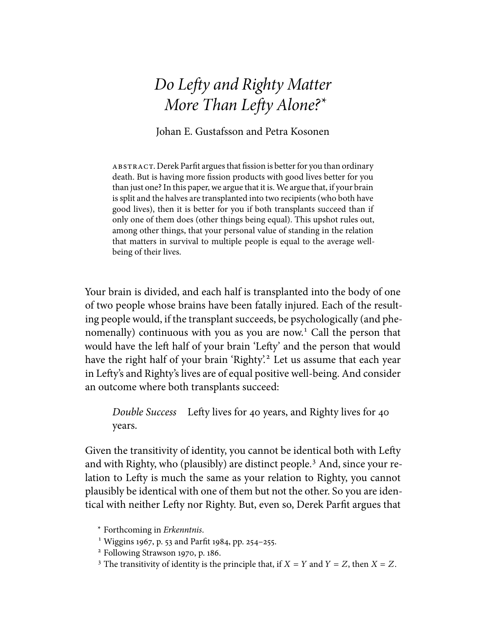## Do Lefty and Righty Matter More Than Lefty Alone?[\\*](#page-0-0)

Johan E. Gustafsson and Petra Kosonen

abstract. Derek Parfit argues that fission is better for you than ordinary death. But is having more fission products with good lives better for you than just one? In this paper, we argue that it is. We argue that, if your brain is split and the halves are transplanted into two recipients (who both have good lives), then it is better for you if both transplants succeed than if only one of them does (other things being equal). This upshot rules out, among other things, that your personal value of standing in the relation that matters in survival to multiple people is equal to the average wellbeing of their lives.

Your brain is divided, and each half is transplanted into the body of one of two people whose brains have been fatally injured. Each of the resulting people would, if the transplant succeeds, be psychologically (and phe-nomenally) continuous with you as you are now.<sup>[1](#page-0-1)</sup> Call the person that would have the left half of your brain 'Lefty' and the person that would have the right half of your brain 'Righty'.<sup>[2](#page-0-2)</sup> Let us assume that each year in Lefty's and Righty's lives are of equal positive well-being. And consider an outcome where both transplants succeed:

Double Success Lefty lives for 40 years, and Righty lives for 40 years.

Given the transitivity of identity, you cannot be identical both with Lefty and with Righty, who (plausibly) are distinct people.<sup>[3](#page-0-3)</sup> And, since your relation to Lefty is much the same as your relation to Righty, you cannot plausibly be identical with one of them but not the other. So you are identical with neither Lefty nor Righty. But, even so, Derek Parfit argues that

<span id="page-0-1"></span><sup>1</sup> [Wiggins 1967,](#page-5-0) p. 53 and [Parfit 1984,](#page-4-0) pp. 254–255.

<span id="page-0-2"></span><sup>2</sup> Following [Strawson 1970,](#page-5-1) p. 186.

<span id="page-0-3"></span><sup>3</sup> The transitivity of identity is the principle that, if  $X = Y$  and  $Y = Z$ , then  $X = Z$ .

<span id="page-0-0"></span><sup>\*</sup> Forthcoming in Erkenntnis.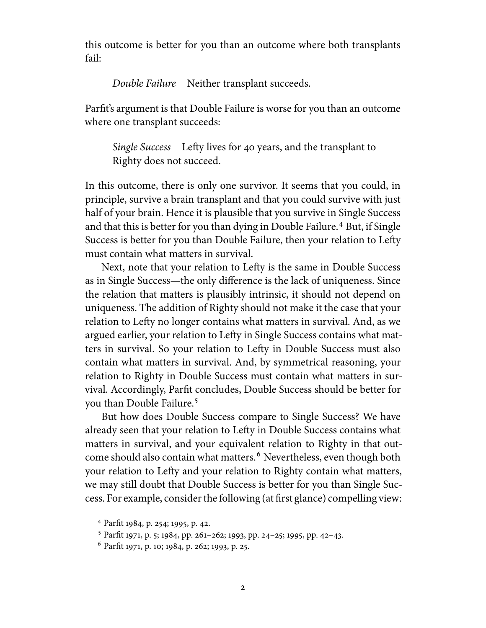this outcome is better for you than an outcome where both transplants fail:

Double Failure Neither transplant succeeds.

Parfit's argument is that Double Failure is worse for you than an outcome where one transplant succeeds:

Single Success Lefty lives for 40 years, and the transplant to Righty does not succeed.

In this outcome, there is only one survivor. It seems that you could, in principle, survive a brain transplant and that you could survive with just half of your brain. Hence it is plausible that you survive in Single Success and that this is better for you than dying in Double Failure.<sup>[4](#page-1-0)</sup> But, if Single Success is better for you than Double Failure, then your relation to Lefty must contain what matters in survival.

Next, note that your relation to Lefty is the same in Double Success as in Single Success—the only difference is the lack of uniqueness. Since the relation that matters is plausibly intrinsic, it should not depend on uniqueness. The addition of Righty should not make it the case that your relation to Lefty no longer contains what matters in survival. And, as we argued earlier, your relation to Lefty in Single Success contains what matters in survival. So your relation to Lefty in Double Success must also contain what matters in survival. And, by symmetrical reasoning, your relation to Righty in Double Success must contain what matters in survival. Accordingly, Parfit concludes, Double Success should be better for you than Double Failure.[5](#page-1-1)

But how does Double Success compare to Single Success? We have already seen that your relation to Lefty in Double Success contains what matters in survival, and your equivalent relation to Righty in that out-come should also contain what matters.<sup>[6](#page-1-2)</sup> Nevertheless, even though both your relation to Lefty and your relation to Righty contain what matters, we may still doubt that Double Success is better for you than Single Success. For example, consider the following (at first glance) compelling view:

<span id="page-1-0"></span><sup>4</sup> Parfit [1984,](#page-4-0) p. 254; [1995,](#page-4-1) p. 42.

<span id="page-1-1"></span><sup>5</sup> Parfit [1971,](#page-4-2) p.5; [1984,](#page-4-0) pp. 261–262; [1993,](#page-4-3) pp. 24–25; [1995,](#page-4-1) pp. 42–43.

<span id="page-1-2"></span><sup>6</sup> Parfit [1971,](#page-4-2) p. 10; [1984,](#page-4-0) p. 262; [1993,](#page-4-3) p. 25.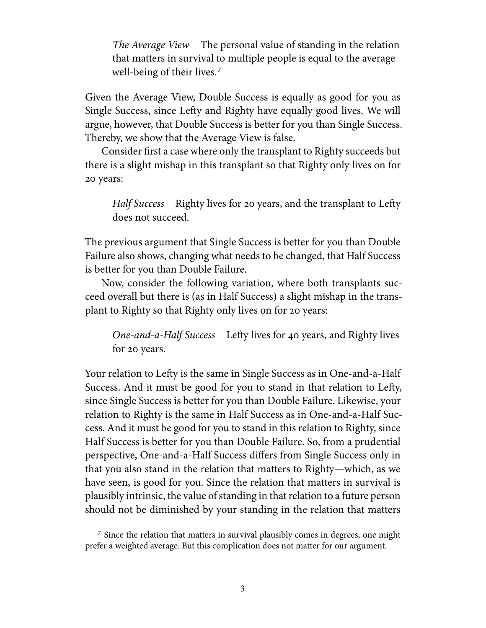The Average View The personal value of standing in the relation that matters in survival to multiple people is equal to the average well-being of their lives.<sup>[7](#page-2-0)</sup>

Given the Average View, Double Success is equally as good for you as Single Success, since Lefty and Righty have equally good lives. We will argue, however, that Double Success is better for you than Single Success. Thereby, we show that the Average View is false.

Consider first a case where only the transplant to Righty succeeds but there is a slight mishap in this transplant so that Righty only lives on for 20 years:

Half Success Righty lives for 20 years, and the transplant to Lefty does not succeed.

The previous argument that Single Success is better for you than Double Failure also shows, changing what needs to be changed, that Half Success is better for you than Double Failure.

Now, consider the following variation, where both transplants succeed overall but there is (as in Half Success) a slight mishap in the transplant to Righty so that Righty only lives on for 20 years:

One-and-a-Half Success Lefty lives for 40 years, and Righty lives for 20 years.

Your relation to Lefty is the same in Single Success as in One-and-a-Half Success. And it must be good for you to stand in that relation to Lefty, since Single Success is better for you than Double Failure. Likewise, your relation to Righty is the same in Half Success as in One-and-a-Half Success. And it must be good for you to stand in this relation to Righty, since Half Success is better for you than Double Failure. So, from a prudential perspective, One-and-a-Half Success differs from Single Success only in that you also stand in the relation that matters to Righty—which, as we have seen, is good for you. Since the relation that matters in survival is plausibly intrinsic, the value of standing in that relation to a future person should not be diminished by your standing in the relation that matters

<span id="page-2-0"></span><sup>&</sup>lt;sup>7</sup> Since the relation that matters in survival plausibly comes in degrees, one might prefer a weighted average. But this complication does not matter for our argument.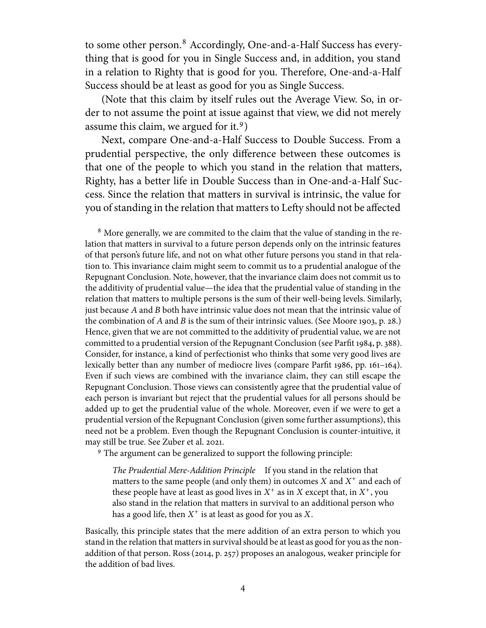to some other person.<sup>[8](#page-3-0)</sup> Accordingly, One-and-a-Half Success has everything that is good for you in Single Success and, in addition, you stand in a relation to Righty that is good for you. Therefore, One-and-a-Half Success should be at least as good for you as Single Success.

(Note that this claim by itself rules out the Average View. So, in order to not assume the point at issue against that view, we did not merely assume this claim, we argued for it.<sup>[9](#page-3-1)</sup>)

Next, compare One-and-a-Half Success to Double Success. From a prudential perspective, the only difference between these outcomes is that one of the people to which you stand in the relation that matters, Righty, has a better life in Double Success than in One-and-a-Half Success. Since the relation that matters in survival is intrinsic, the value for you of standing in the relation that matters to Lefty should not be affected

<span id="page-3-0"></span><sup>8</sup> More generally, we are commited to the claim that the value of standing in the relation that matters in survival to a future person depends only on the intrinsic features of that person's future life, and not on what other future persons you stand in that relation to. This invariance claim might seem to commit us to a prudential analogue of the Repugnant Conclusion. Note, however, that the invariance claim does not commit us to the additivity of prudential value—the idea that the prudential value of standing in the relation that matters to multiple persons is the sum of their well-being levels. Similarly, just because  $A$  and  $B$  both have intrinsic value does not mean that the intrinsic value of the combination of  $A$  and  $B$  is the sum of their intrinsic values. (See [Moore 1903,](#page-4-4) p. 28.) Hence, given that we are not committed to the additivity of prudential value, we are not committed to a prudential version of the Repugnant Conclusion (see [Parfit 1984,](#page-4-0) p. 388). Consider, for instance, a kind of perfectionist who thinks that some very good lives are lexically better than any number of mediocre lives (compare [Parfit 1986,](#page-4-5) pp. 161–164). Even if such views are combined with the invariance claim, they can still escape the Repugnant Conclusion. Those views can consistently agree that the prudential value of each person is invariant but reject that the prudential values for all persons should be added up to get the prudential value of the whole. Moreover, even if we were to get a prudential version of the Repugnant Conclusion (given some further assumptions), this need not be a problem. Even though the Repugnant Conclusion is counter-intuitive, it may still be true. See [Zuber et al. 2021.](#page-5-2)

<span id="page-3-1"></span><sup>9</sup> The argument can be generalized to support the following principle:

The Prudential Mere-Addition Principle If you stand in the relation that matters to the same people (and only them) in outcomes  $X$  and  $X^+$  and each of these people have at least as good lives in  $X^+$  as in X except that, in  $X^+$ , you also stand in the relation that matters in survival to an additional person who has a good life, then  $X^+$  is at least as good for you as X.

Basically, this principle states that the mere addition of an extra person to which you stand in the relation that matters in survival should be at least as good for you as the nonaddition of that person. [Ross \(2014,](#page-5-3) p. 257) proposes an analogous, weaker principle for the addition of bad lives.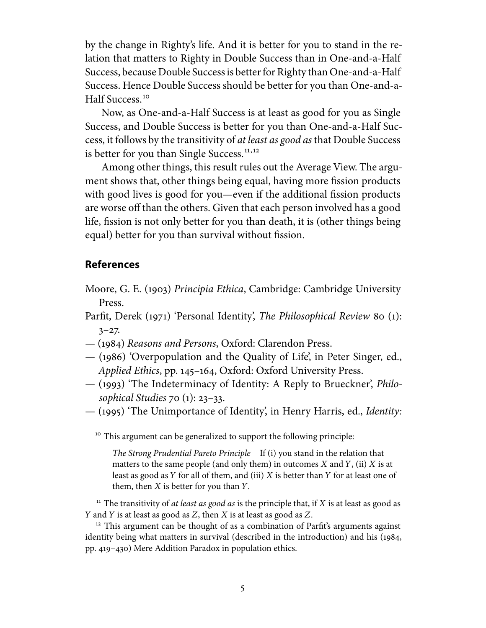by the change in Righty's life. And it is better for you to stand in the relation that matters to Righty in Double Success than in One-and-a-Half Success, because Double Success is better for Righty than One-and-a-Half Success. Hence Double Success should be better for you than One-and-a-Half Success.<sup>[10](#page-4-6)</sup>

Now, as One-and-a-Half Success is at least as good for you as Single Success, and Double Success is better for you than One-and-a-Half Success, it follows by the transitivity of at least as good as that Double Success is better for you than Single Success.<sup>[11,](#page-4-7)12</sup>

Among other things, this result rules out the Average View. The argument shows that, other things being equal, having more fission products with good lives is good for you—even if the additional fission products are worse off than the others. Given that each person involved has a good life, fission is not only better for you than death, it is (other things being equal) better for you than survival without fission.

## **References**

- <span id="page-4-4"></span>Moore, G. E. (1903) Principia Ethica, Cambridge: Cambridge University Press.
- <span id="page-4-2"></span>Parfit, Derek (1971) 'Personal Identity', The Philosophical Review 80 (1):  $3 - 27.$
- <span id="page-4-0"></span>— (1984) Reasons and Persons, Oxford: Clarendon Press.
- <span id="page-4-5"></span>— (1986) 'Overpopulation and the Quality of Life', in Peter Singer, ed., Applied Ethics, pp. 145–164, Oxford: Oxford University Press.
- <span id="page-4-3"></span>— (1993) 'The Indeterminacy of Identity: A Reply to Brueckner', Philosophical Studies 70 (1): 23–33.
- <span id="page-4-1"></span>— (1995) 'The Unimportance of Identity', in Henry Harris, ed., Identity:

<span id="page-4-6"></span><sup>10</sup> This argument can be generalized to support the following principle:

The Strong Prudential Pareto Principle If (i) you stand in the relation that matters to the same people (and only them) in outcomes  $X$  and  $Y$ , (ii)  $X$  is at least as good as  $Y$  for all of them, and (iii)  $X$  is better than  $Y$  for at least one of them, then  $X$  is better for you than  $Y$ .

<span id="page-4-7"></span><sup>11</sup> The transitivity of *at least as good as* is the principle that, if  $X$  is at least as good as  $Y$  and  $Y$  is at least as good as  $Z$ , then  $X$  is at least as good as  $Z$ .

<span id="page-4-8"></span> $12$  This argument can be thought of as a combination of Parfit's arguments against identity being what matters in survival (described in the introduction) and his [\(1984,](#page-4-0) pp. 419–430) Mere Addition Paradox in population ethics.